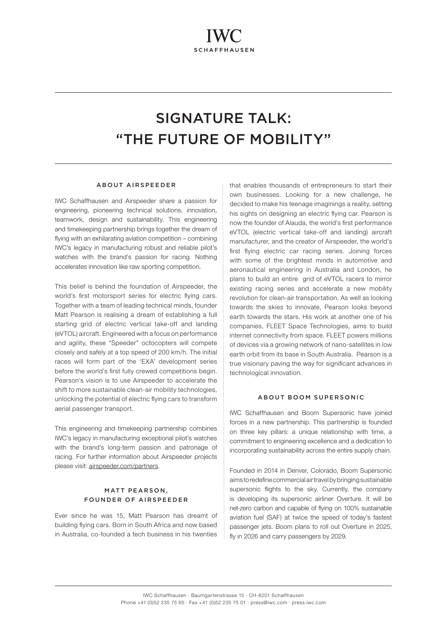# SIGNATURE TALK: "THE FUTURE OF MOBILITY"

### ABOUT AIRSPEEDER

IWC Schaffhausen and Airspeeder share a passion for engineering, pioneering technical solutions, innovation, teamwork, design and sustainability. This engineering and timekeeping partnership brings together the dream of flying with an exhilarating aviation competition – combining IWC's legacy in manufacturing robust and reliable pilot's watches with the brand's passion for racing. Nothing accelerates innovation like raw sporting competition.

This belief is behind the foundation of Airspeeder, the world's first motorsport series for electric flying cars. Together with a team of leading technical minds, founder Matt Pearson is realising a dream of establishing a full starting grid of electric vertical take-off and landing (eVTOL) aircraft. Engineered with a focus on performance and agility, these "Speeder" octocopters will compete closely and safely at a top speed of 200 km/h. The initial races will form part of the 'EXA' development series before the world's first fully crewed competitions begin. Pearson's vision is to use Airspeeder to accelerate the shift to more sustainable clean-air mobility technologies, unlocking the potential of electric flying cars to transform aerial passenger transport.

This engineering and timekeeping partnership combines IWC's legacy in manufacturing exceptional pilot's watches with the brand's long-term passion and patronage of racing. For further information about Airspeeder projects please visit: [airspeeder.com/partners](http://airspeeder.com/partners).

## MATT PEARSON, FOUNDER OF AIRSPEEDER

Ever since he was 15, Matt Pearson has dreamt of building flying cars. Born in South Africa and now based in Australia, co-founded a tech business in his twenties

that enables thousands of entrepreneurs to start their own businesses. Looking for a new challenge, he decided to make his teenage imaginings a reality, setting his sights on designing an electric flying car. Pearson is now the founder of Alauda, the world's first performance eVTOL (electric vertical take-off and landing) aircraft manufacturer, and the creator of Airspeeder, the world's first flying electric car racing series. Joining forces with some of the brightest minds in automotive and aeronautical engineering in Australia and London, he plans to build an entire grid of eVTOL racers to mirror existing racing series and accelerate a new mobility revolution for clean-air transportation. As well as looking towards the skies to innovate, Pearson looks beyond earth towards the stars. His work at another one of his companies, FLEET Space Technologies, aims to build internet connectivity from space. FLEET powers millions of devices via a growing network of nano-satellites in low earth orbit from its base in South Australia. Pearson is a true visionary paving the way for significant advances in technological innovation.

#### ABOUT BOOM SUPERSONIC

IWC Schaffhausen and Boom Supersonic have joined forces in a new partnership. This partnership is founded on three key pillars: a unique relationship with time, a commitment to engineering excellence and a dedication to incorporating sustainability across the entire supply chain.

Founded in 2014 in Denver, Colorado, Boom Supersonic aims to redefine commercial air travel by bringing sustainable supersonic flights to the sky. Currently, the company is developing its supersonic airliner Overture. It will be net-zero carbon and capable of flying on 100% sustainable aviation fuel (SAF) at twice the speed of today's fastest passenger jets. Boom plans to roll out Overture in 2025, fly in 2026 and carry passengers by 2029.